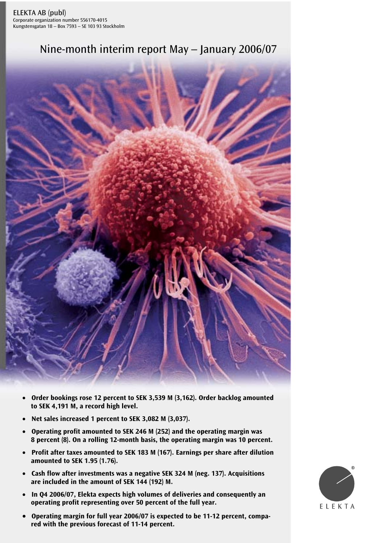# Nine-month interim report May – January 2006/07



- **Order bookings rose 12 percent to SEK 3,539 M (3,162). Order backlog amounted to SEK 4,191 M, a record high level.**
- **Net sales increased 1 percent to SEK 3,082 M (3,037).**
- **Operating profit amounted to SEK 246 M (252) and the operating margin was 8 percent (8). On a rolling 12-month basis, the operating margin was 10 percent.**
- **Profit after taxes amounted to SEK 183 M (167). Earnings per share after dilution amounted to SEK 1.95 (1.76).**
- **Cash flow after investments was a negative SEK 324 M (neg. 137). Acquisitions are included in the amount of SEK 144 (192) M.**
- **In Q4 2006/07, Elekta expects high volumes of deliveries and consequently an operating profit representing over 50 percent of the full year.**
- Operating margin for full year 2006/07 is expected to be 11-12 percent, compa**red with the previous forecast of 11-14 percent.**

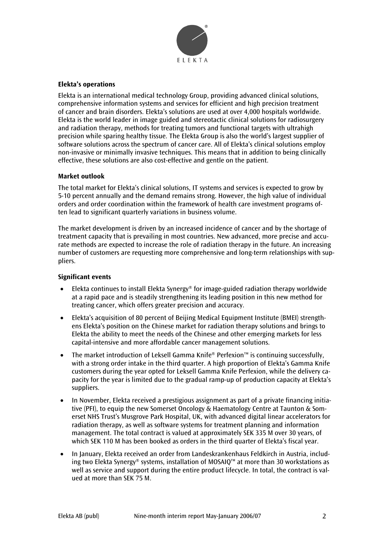

# **Elekta's operations**

Elekta is an international medical technology Group, providing advanced clinical solutions, comprehensive information systems and services for efficient and high precision treatment of cancer and brain disorders. Elekta's solutions are used at over 4,000 hospitals worldwide. Elekta is the world leader in image guided and stereotactic clinical solutions for radiosurgery and radiation therapy, methods for treating tumors and functional targets with ultrahigh precision while sparing healthy tissue. The Elekta Group is also the world's largest supplier of software solutions across the spectrum of cancer care. All of Elekta's clinical solutions employ non-invasive or minimally invasive techniques. This means that in addition to being clinically effective, these solutions are also cost-effective and gentle on the patient.

## **Market outlook**

The total market for Elekta's clinical solutions, IT systems and services is expected to grow by 5-10 percent annually and the demand remains strong. However, the high value of individual orders and order coordination within the framework of health care investment programs often lead to significant quarterly variations in business volume.

The market development is driven by an increased incidence of cancer and by the shortage of treatment capacity that is prevailing in most countries. New advanced, more precise and accurate methods are expected to increase the role of radiation therapy in the future. An increasing number of customers are requesting more comprehensive and long-term relationships with suppliers.

## **Significant events**

- Elekta continues to install Elekta Synergy® for image-guided radiation therapy worldwide at a rapid pace and is steadily strengthening its leading position in this new method for treating cancer, which offers greater precision and accuracy.
- Elekta's acquisition of 80 percent of Beijing Medical Equipment Institute (BMEI) strengthens Elekta's position on the Chinese market for radiation therapy solutions and brings to Elekta the ability to meet the needs of the Chinese and other emerging markets for less capital-intensive and more affordable cancer management solutions.
- The market introduction of Leksell Gamma Knife® Perfexion™ is continuing successfully, with a strong order intake in the third quarter. A high proportion of Elekta's Gamma Knife customers during the year opted for Leksell Gamma Knife Perfexion, while the delivery capacity for the year is limited due to the gradual ramp-up of production capacity at Elekta's suppliers.
- In November, Elekta received a prestigious assignment as part of a private financing initiative (PFI), to equip the new Somerset Oncology & Haematology Centre at Taunton & Somerset NHS Trust's Musgrove Park Hospital, UK, with advanced digital linear accelerators for radiation therapy, as well as software systems for treatment planning and information management. The total contract is valued at approximately SEK 335 M over 30 years, of which SEK 110 M has been booked as orders in the third quarter of Elekta's fiscal year.
- In January, Elekta received an order from Landeskrankenhaus Feldkirch in Austria, including two Elekta Synergy® systems, installation of MOSAIQ™ at more than 30 workstations as well as service and support during the entire product lifecycle. In total, the contract is valued at more than SEK 75 M.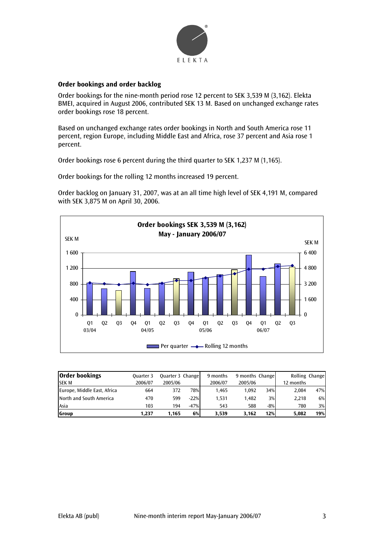

## **Order bookings and order backlog**

Order bookings for the nine-month period rose 12 percent to SEK 3,539 M (3,162). Elekta BMEI, acquired in August 2006, contributed SEK 13 M. Based on unchanged exchange rates order bookings rose 18 percent.

Based on unchanged exchange rates order bookings in North and South America rose 11 percent, region Europe, including Middle East and Africa, rose 37 percent and Asia rose 1 percent.

Order bookings rose 6 percent during the third quarter to SEK 1,237 M (1,165).

Order bookings for the rolling 12 months increased 19 percent.

Order backlog on January 31, 2007, was at an all time high level of SEK 4,191 M, compared with SEK 3,875 M on April 30, 2006.



| <b>Order bookings</b>       | Quarter 3 | Quarter 3 Change |           | 9 months | 9 months Change |       | Rolling Change |     |
|-----------------------------|-----------|------------------|-----------|----------|-----------------|-------|----------------|-----|
| <b>SEK M</b>                | 2006/07   | 2005/06          |           | 2006/07  | 2005/06         |       | 12 months      |     |
| Europe, Middle East, Africa | 664       | 372              | 78%       | 1.465    | 1.092           | 34%   | 2.084          | 47% |
| North and South America     | 470       | 599              | $-22%$    | 1.531    | 1.482           | 3%    | 2.218          | 6%  |
| Asia                        | 103       | 194              | $-47%$    | 543      | 588             | $-8%$ | 780            | 3%  |
| <b>Group</b>                | 1.237     | 1.165            | <b>6%</b> | 3.539    | 3.162           | 12%   | 5.082          | 19% |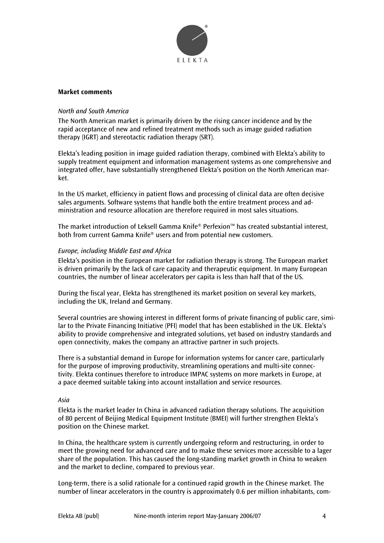

## **Market comments**

## *North and South America*

The North American market is primarily driven by the rising cancer incidence and by the rapid acceptance of new and refined treatment methods such as image guided radiation therapy (IGRT) and stereotactic radiation therapy (SRT).

Elekta's leading position in image guided radiation therapy, combined with Elekta's ability to supply treatment equipment and information management systems as one comprehensive and integrated offer, have substantially strengthened Elekta's position on the North American market.

In the US market, efficiency in patient flows and processing of clinical data are often decisive sales arguments. Software systems that handle both the entire treatment process and administration and resource allocation are therefore required in most sales situations.

The market introduction of Leksell Gamma Knife® Perfexion™ has created substantial interest, both from current Gamma Knife® users and from potential new customers.

## *Europe, including Middle East and Africa*

Elekta's position in the European market for radiation therapy is strong. The European market is driven primarily by the lack of care capacity and therapeutic equipment. In many European countries, the number of linear accelerators per capita is less than half that of the US.

During the fiscal year, Elekta has strengthened its market position on several key markets, including the UK, Ireland and Germany.

Several countries are showing interest in different forms of private financing of public care, similar to the Private Financing Initiative (PFI) model that has been established in the UK. Elekta's ability to provide comprehensive and integrated solutions, yet based on industry standards and open connectivity, makes the company an attractive partner in such projects.

There is a substantial demand in Europe for information systems for cancer care, particularly for the purpose of improving productivity, streamlining operations and multi-site connectivity. Elekta continues therefore to introduce IMPAC systems on more markets in Europe, at a pace deemed suitable taking into account installation and service resources.

## *Asia*

Elekta is the market leader In China in advanced radiation therapy solutions. The acquisition of 80 percent of Beijing Medical Equipment Institute (BMEI) will further strengthen Elekta's position on the Chinese market.

In China, the healthcare system is currently undergoing reform and restructuring, in order to meet the growing need for advanced care and to make these services more accessible to a lager share of the population. This has caused the long-standing market growth in China to weaken and the market to decline, compared to previous year.

Long-term, there is a solid rationale for a continued rapid growth in the Chinese market. The number of linear accelerators in the country is approximately 0.6 per million inhabitants, com-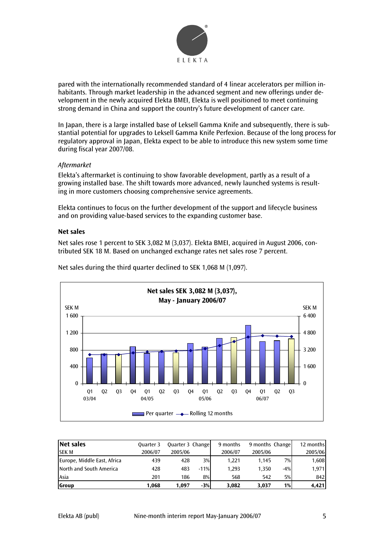

pared with the internationally recommended standard of 4 linear accelerators per million inhabitants. Through market leadership in the advanced segment and new offerings under development in the newly acquired Elekta BMEI, Elekta is well positioned to meet continuing strong demand in China and support the country's future development of cancer care.

In Japan, there is a large installed base of Leksell Gamma Knife and subsequently, there is substantial potential for upgrades to Leksell Gamma Knife Perfexion. Because of the long process for regulatory approval in Japan, Elekta expect to be able to introduce this new system some time during fiscal year 2007/08.

## *Aftermarket*

Elekta's aftermarket is continuing to show favorable development, partly as a result of a growing installed base. The shift towards more advanced, newly launched systems is resulting in more customers choosing comprehensive service agreements.

Elekta continues to focus on the further development of the support and lifecycle business and on providing value-based services to the expanding customer base.

## **Net sales**

Net sales rose 1 percent to SEK 3,082 M (3,037). Elekta BMEI, acquired in August 2006, contributed SEK 18 M. Based on unchanged exchange rates net sales rose 7 percent.



Net sales during the third quarter declined to SEK 1,068 M (1,097).

| Net sales                   | Quarter 3 | Quarter 3 Change |        | 9 months | 9 months Change |       | 12 months |
|-----------------------------|-----------|------------------|--------|----------|-----------------|-------|-----------|
| <b>SEKM</b>                 | 2006/07   | 2005/06          |        | 2006/07  | 2005/06         |       | 2005/06   |
| Europe, Middle East, Africa | 439       | 428              | 3%     | 1.221    | 1.145           | 7%    | 1,608     |
| North and South America     | 428       | 483              | $-11%$ | 1,293    | 1.350           | $-4%$ | 1,971     |
| Asia                        | 201       | 186              | 8%     | 568      | 542             | 5%    | 842       |
| Group                       | 1.068     | 1.097            | $-3%$  | 3.082    | 3.037           | 1%    | 4,421     |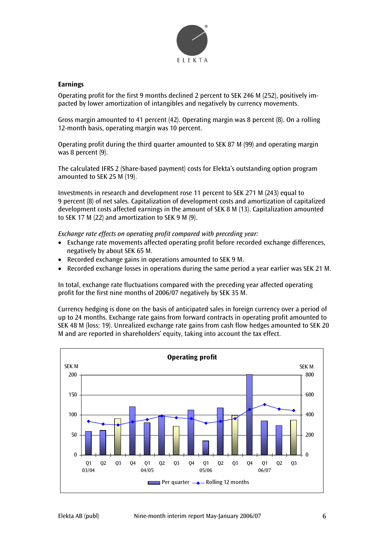

## **Earnings**

Operating profit for the first 9 months declined 2 percent to SEK 246 M (252), positively impacted by lower amortization of intangibles and negatively by currency movements.

Gross margin amounted to 41 percent (42). Operating margin was 8 percent (8). On a rolling 12-month basis, operating margin was 10 percent.

Operating profit during the third quarter amounted to SEK 87 M (99) and operating margin was 8 percent (9).

The calculated IFRS 2 (Share-based payment) costs for Elekta's outstanding option program amounted to SEK 25 M (19).

Investments in research and development rose 11 percent to SEK 271 M (243) equal to 9 percent (8) of net sales. Capitalization of development costs and amortization of capitalized development costs affected earnings in the amount of SEK 8 M (13). Capitalization amounted to SEK 17 M (22) and amortization to SEK 9 M (9).

*Exchange rate effects on operating profit compared with preceding year:* 

- Exchange rate movements affected operating profit before recorded exchange differences, negatively by about SEK 65 M.
- Recorded exchange gains in operations amounted to SEK 9 M.
- Recorded exchange losses in operations during the same period a year earlier was SEK 21 M.

In total, exchange rate fluctuations compared with the preceding year affected operating profit for the first nine months of 2006/07 negatively by SEK 35 M.

Currency hedging is done on the basis of anticipated sales in foreign currency over a period of up to 24 months. Exchange rate gains from forward contracts in operating profit amounted to SEK 48 M (loss: 19). Unrealized exchange rate gains from cash flow hedges amounted to SEK 20 M and are reported in shareholders' equity, taking into account the tax effect.

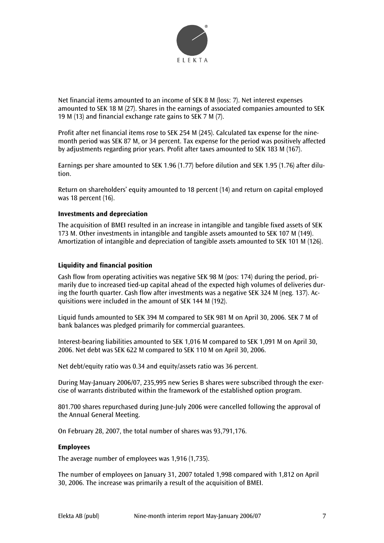

Net financial items amounted to an income of SEK 8 M (loss: 7). Net interest expenses amounted to SEK 18 M (27). Shares in the earnings of associated companies amounted to SEK 19 M (13) and financial exchange rate gains to SEK 7 M (7).

Profit after net financial items rose to SEK 254 M (245). Calculated tax expense for the ninemonth period was SEK 87 M, or 34 percent. Tax expense for the period was positively affected by adjustments regarding prior years. Profit after taxes amounted to SEK 183 M (167).

Earnings per share amounted to SEK 1.96 (1.77) before dilution and SEK 1.95 (1.76) after dilution.

Return on shareholders' equity amounted to 18 percent (14) and return on capital employed was 18 percent (16).

## **Investments and depreciation**

The acquisition of BMEI resulted in an increase in intangible and tangible fixed assets of SEK 173 M. Other investments in intangible and tangible assets amounted to SEK 107 M (149). Amortization of intangible and depreciation of tangible assets amounted to SEK 101 M (126).

## **Liquidity and financial position**

Cash flow from operating activities was negative SEK 98 M (pos: 174) during the period, primarily due to increased tied-up capital ahead of the expected high volumes of deliveries during the fourth quarter. Cash flow after investments was a negative SEK 324 M (neg. 137). Acquisitions were included in the amount of SEK 144 M (192).

Liquid funds amounted to SEK 394 M compared to SEK 981 M on April 30, 2006. SEK 7 M of bank balances was pledged primarily for commercial guarantees.

Interest-bearing liabilities amounted to SEK 1,016 M compared to SEK 1,091 M on April 30, 2006. Net debt was SEK 622 M compared to SEK 110 M on April 30, 2006.

Net debt/equity ratio was 0.34 and equity/assets ratio was 36 percent.

During May-January 2006/07, 235,995 new Series B shares were subscribed through the exercise of warrants distributed within the framework of the established option program.

801.700 shares repurchased during June-July 2006 were cancelled following the approval of the Annual General Meeting.

On February 28, 2007, the total number of shares was 93,791,176.

## **Employees**

The average number of employees was 1,916 (1,735).

The number of employees on January 31, 2007 totaled 1,998 compared with 1,812 on April 30, 2006. The increase was primarily a result of the acquisition of BMEI.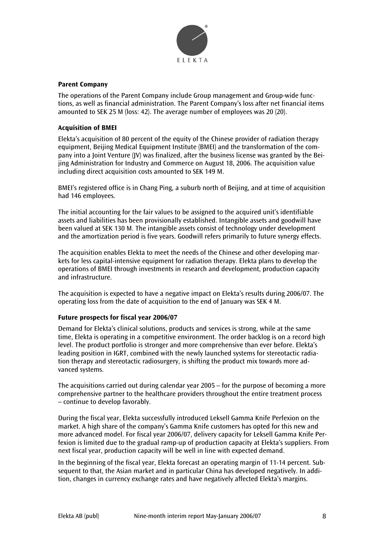

## **Parent Company**

The operations of the Parent Company include Group management and Group-wide functions, as well as financial administration. The Parent Company's loss after net financial items amounted to SEK 25 M (loss: 42). The average number of employees was 20 (20).

## **Acquisition of BMEI**

Elekta's acquisition of 80 percent of the equity of the Chinese provider of radiation therapy equipment, Beijing Medical Equipment Institute (BMEI) and the transformation of the company into a Joint Venture (JV) was finalized, after the business license was granted by the Beijing Administration for Industry and Commerce on August 18, 2006. The acquisition value including direct acquisition costs amounted to SEK 149 M.

BMEI's registered office is in Chang Ping, a suburb north of Beijing, and at time of acquisition had 146 employees.

The initial accounting for the fair values to be assigned to the acquired unit's identifiable assets and liabilities has been provisionally established. Intangible assets and goodwill have been valued at SEK 130 M. The intangible assets consist of technology under development and the amortization period is five years. Goodwill refers primarily to future synergy effects.

The acquisition enables Elekta to meet the needs of the Chinese and other developing markets for less capital-intensive equipment for radiation therapy. Elekta plans to develop the operations of BMEI through investments in research and development, production capacity and infrastructure.

The acquisition is expected to have a negative impact on Elekta's results during 2006/07. The operating loss from the date of acquisition to the end of January was SEK 4 M.

## **Future prospects for fiscal year 2006/07**

Demand for Elekta's clinical solutions, products and services is strong, while at the same time, Elekta is operating in a competitive environment. The order backlog is on a record high level. The product portfolio is stronger and more comprehensive than ever before. Elekta's leading position in IGRT, combined with the newly launched systems for stereotactic radiation therapy and stereotactic radiosurgery, is shifting the product mix towards more advanced systems.

The acquisitions carried out during calendar year 2005 – for the purpose of becoming a more comprehensive partner to the healthcare providers throughout the entire treatment process – continue to develop favorably.

During the fiscal year, Elekta successfully introduced Leksell Gamma Knife Perfexion on the market. A high share of the company's Gamma Knife customers has opted for this new and more advanced model. For fiscal year 2006/07, delivery capacity for Leksell Gamma Knife Perfexion is limited due to the gradual ramp-up of production capacity at Elekta's suppliers. From next fiscal year, production capacity will be well in line with expected demand.

In the beginning of the fiscal year, Elekta forecast an operating margin of 11-14 percent. Subsequent to that, the Asian market and in particular China has developed negatively. In addition, changes in currency exchange rates and have negatively affected Elekta's margins.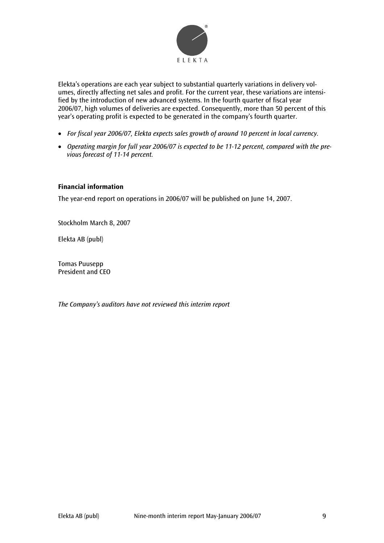

Elekta's operations are each year subject to substantial quarterly variations in delivery volumes, directly affecting net sales and profit. For the current year, these variations are intensified by the introduction of new advanced systems. In the fourth quarter of fiscal year 2006/07, high volumes of deliveries are expected. Consequently, more than 50 percent of this year's operating profit is expected to be generated in the company's fourth quarter.

- *For fiscal year 2006/07, Elekta expects sales growth of around 10 percent in local currency.*
- *Operating margin for full year 2006/07 is expected to be 11-12 percent, compared with the previous forecast of 11-14 percent.*

## **Financial information**

The year-end report on operations in 2006/07 will be published on June 14, 2007.

Stockholm March 8, 2007

Elekta AB (publ)

Tomas Puusepp President and CEO

*The Company's auditors have not reviewed this interim report*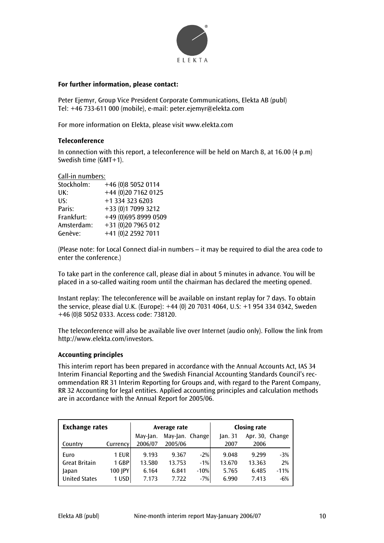

## **For further information, please contact:**

Peter Ejemyr, Group Vice President Corporate Communications, Elekta AB (publ) Tel: +46 733-611 000 (mobile), e-mail: peter.ejemyr@elekta.com

For more information on Elekta, please visit www.elekta.com

## **Teleconference**

In connection with this report, a teleconference will be held on March 8, at 16.00 (4 p.m) Swedish time (GMT+1).

#### Call-in numbers:

| Stockholm: | +46 (0)8 5052 0114   |
|------------|----------------------|
| UK:        | +44 (0)20 7162 0125  |
| US:        | +1 334 323 6203      |
| Paris:     | +33 (0)1 7099 3212   |
| Frankfurt: | +49 (0)695 8999 0509 |
| Amsterdam: | +31 (0)20 7965 012   |
| Genève:    | +41 (0)2 2592 7011   |

(Please note: for Local Connect dial-in numbers – it may be required to dial the area code to enter the conference.)

To take part in the conference call, please dial in about 5 minutes in advance. You will be placed in a so-called waiting room until the chairman has declared the meeting opened.

Instant replay: The teleconference will be available on instant replay for 7 days. To obtain the service, please dial U.K. (Europe): +44 (0) 20 7031 4064, U.S: +1 954 334 0342, Sweden +46 (0)8 5052 0333. Access code: 738120.

The teleconference will also be available live over Internet (audio only). Follow the link from http://www.elekta.com/investors.

## **Accounting principles**

This interim report has been prepared in accordance with the Annual Accounts Act, IAS 34 Interim Financial Reporting and the Swedish Financial Accounting Standards Council's recommendation RR 31 Interim Reporting for Groups and, with regard to the Parent Company, RR 32 Accounting for legal entities. Applied accounting principles and calculation methods are in accordance with the Annual Report for 2005/06.

| <b>Exchange rates</b> |          |          | Average rate    |        | <b>Closing rate</b> |                 |        |  |
|-----------------------|----------|----------|-----------------|--------|---------------------|-----------------|--------|--|
|                       |          | May-Jan. | May-Jan. Change |        | lan.31              | Apr. 30, Change |        |  |
| Country               | Currency | 2006/07  | 2005/06         |        | 2007                | 2006            |        |  |
| Euro                  | 1 EUR    | 9.193    | 9.367           | $-2%$  | 9.048               | 9.299           | $-3%$  |  |
| <b>Great Britain</b>  | 1 GBP    | 13.580   | 13.753          | $-1%$  | 13.670              | 13.363          | 2%     |  |
| Japan                 | 100 JPY  | 6.164    | 6.841           | $-10%$ | 5.765               | 6.485           | $-11%$ |  |
| <b>United States</b>  | 1 USD    | 7.173    | 7.722           | $-7%$  | 6.990               | 7.413           | $-6%$  |  |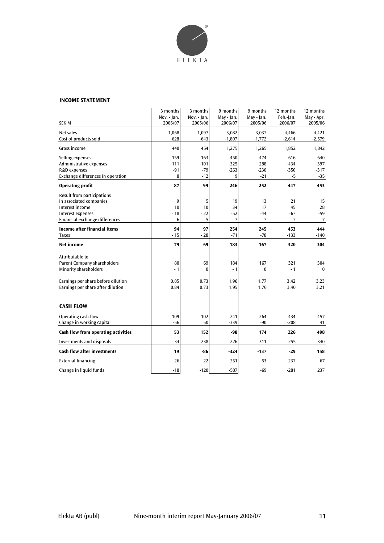

#### **INCOME STATEMENT**

|                                                       | 3 months<br>Nov. - Jan. | 3 months<br>Nov. - Jan. | 9 months<br>May - Jan.  | 9 months<br>May - Jan. | 12 months<br>Feb.-Jan. | 12 months<br>May - Apr. |
|-------------------------------------------------------|-------------------------|-------------------------|-------------------------|------------------------|------------------------|-------------------------|
| <b>SEK M</b>                                          | 2006/07                 | 2005/06                 | 2006/07                 | 2005/06                | 2006/07                | 2005/06                 |
| Net sales<br>Cost of products sold                    | 1,068<br>$-628$         | 1,097<br>$-643$         | 3,082<br>$-1,807$       | 3,037<br>$-1,772$      | 4,466<br>$-2,614$      | 4,421<br>$-2,579$       |
| Gross income                                          | 440                     | 454                     | 1,275                   | 1,265                  | 1,852                  | 1,842                   |
| Selling expenses                                      | $-159$                  | $-163$                  | $-450$                  | $-474$                 | $-616$                 | $-640$                  |
| Administrative expenses                               | $-111$<br>$-91$         | $-101$                  | $-325$                  | $-288$<br>$-230$       | $-434$                 | $-397$<br>$-317$        |
| R&D expenses<br>Exchange differences in operation     | 8                       | $-79$<br>$-12$          | $-263$<br>9             | $-21$                  | $-350$<br>$-5$         | -35                     |
| <b>Operating profit</b>                               | 87                      | 99                      | 246                     | 252                    | 447                    | 453                     |
| Result from participations                            |                         |                         |                         |                        |                        |                         |
| in associated companies                               | 9                       | 5                       | 19                      | 13                     | 21                     | 15                      |
| Interest income                                       | 10                      | 10                      | 34                      | 17                     | 45                     | 28                      |
| Interest expenses<br>Financial exchange differences   | $-18$<br>6              | $-22$<br>5              | $-52$<br>$\overline{7}$ | $-44$<br>7             | $-67$<br>7             | $-59$<br>7              |
|                                                       |                         |                         |                         |                        |                        |                         |
| Income after financial items<br><b>Taxes</b>          | 94<br>$-15$             | 97<br>$-28$             | 254<br>$-71$            | 245<br>$-78$           | 453<br>$-133$          | 444<br>$-140$           |
| <b>Net income</b>                                     | 79                      | 69                      | 183                     | 167                    | 320                    | 304                     |
|                                                       |                         |                         |                         |                        |                        |                         |
| Attributable to<br><b>Parent Company shareholders</b> | 80                      | 69                      | 184                     | 167                    | 321                    | 304                     |
| <b>Minority shareholders</b>                          | $-1$                    | $\Omega$                | $-1$                    | $\mathbf{0}$           | $-1$                   | $\Omega$                |
| Earnings per share before dilution                    | 0.85                    | 0.73                    | 1.96                    | 1.77                   | 3.42                   | 3.23                    |
| Earnings per share after dilution                     | 0.84                    | 0.73                    | 1.95                    | 1.76                   | 3.40                   | 3.21                    |
|                                                       |                         |                         |                         |                        |                        |                         |
| <b>CASH FLOW</b>                                      |                         |                         |                         |                        |                        |                         |
| Operating cash flow                                   | 109                     | 102                     | 241                     | 264                    | 434                    | 457                     |
| Change in working capital                             | $-56$                   | 50                      | $-339$                  | $-90$                  | $-208$                 | 41                      |
| Cash flow from operating activities                   | 53                      | 152                     | -98                     | 174                    | 226                    | 498                     |
| Investments and disposals                             | $-34$                   | $-238$                  | $-226$                  | $-311$                 | $-255$                 | $-340$                  |
| <b>Cash flow after investments</b>                    | 19                      | -86                     | $-324$                  | $-137$                 | $-29$                  | 158                     |
| <b>External financing</b>                             | $-26$                   | $-22$                   | $-251$                  | 53                     | $-237$                 | 67                      |
| Change in liquid funds                                | $-18$                   | $-120$                  | $-587$                  | $-69$                  | $-281$                 | 237                     |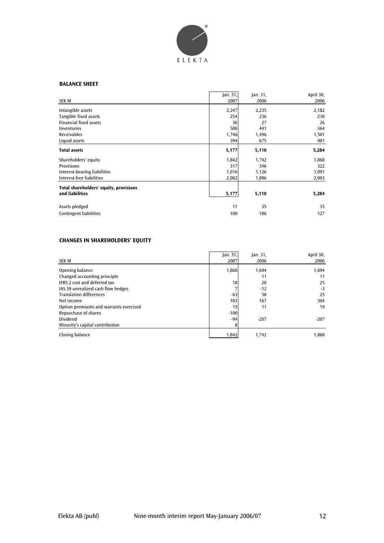

## **BALANCE SHEET**

|                                        | jan. 31, | Jan. 31, | April 30, |
|----------------------------------------|----------|----------|-----------|
| <b>SEK M</b>                           | 2007     | 2006     | 2006      |
| Intangible assets                      | 2,247    | 2,235    | 2,182     |
| Tangible fixed assets                  | 254      | 236      | 230       |
| <b>Financial fixed assets</b>          | 36       | 27       | 26        |
| Inventories                            | 500      | 441      | 364       |
| Receivables                            | 1,746    | 1,496    | 1,501     |
| Liquid assets                          | 394      | 675      | 981       |
| <b>Total assets</b>                    | 5,177    | 5,110    | 5,284     |
| Shareholders' equity                   | 1,842    | 1,742    | 1,868     |
| <b>Provisions</b>                      | 317      | 346      | 322       |
| Interest-bearing liabilities           | 1,016    | 1,126    | 1,091     |
| Interest-free liabilities              | 2,002    | 1,896    | 2,003     |
| Total shareholders' equity, provisions |          |          |           |
| and liabilities                        | 5,177    | 5,110    | 5,284     |
| Assets pledged                         | 11       | 35       | 35        |
| <b>Contingent liabilities</b>          | 100      | 186      | 127       |

## **CHANGES IN SHAREHOLDERS' EQUITY**

|                                        | Jan. 31, | an.31  | April 30, |
|----------------------------------------|----------|--------|-----------|
| SEK M                                  | 2007     | 2006   | 2006      |
| Opening balance                        | 1,868    | 1,694  | 1,694     |
| Changed accounting principle           |          | 11     | 11        |
| <b>IFRS 2 cost and deferred tax</b>    | 18       | 20     | 25        |
| IAS 39 unrealized cash flow hedges     |          | $-12$  | $-3$      |
| <b>Translation differences</b>         | $-63$    | 58     | 25        |
| Net income                             | 183      | 167    | 304       |
| Option premiums and warrants exercised | 15       | 11     | 19        |
| Repurchase of shares                   | $-100$   |        |           |
| <b>Dividend</b>                        | $-94$    | $-207$ | $-207$    |
| Minority's capital contribution        | 8        |        |           |
| Closing balance                        | 1,842    | 1,742  | 1.868     |